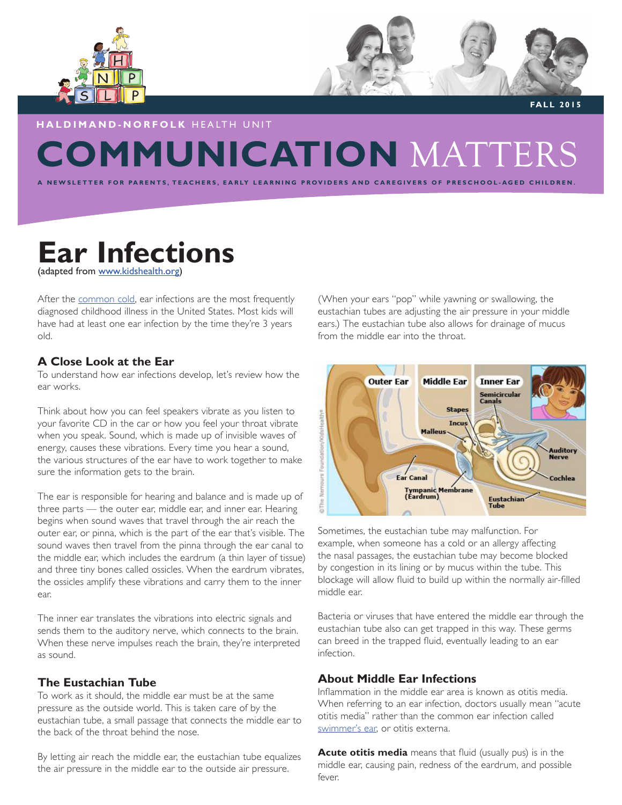



 **FALL 2015**

# **COMMUNICATION** MATTERS **HALDIMAND-NORFOLK** HEALTH UNIT

TEACHERS, EARLY LEARNING PROVIDERS AND CAREGIVERS OF PRESCHOOL-AGED CHILDREN.

# **Ear Infections** (adapted from www.kidshealth.org)

After the common cold, ear infections are the most frequently diagnosed childhood illness in the United States. Most kids will have had at least one ear infection by the time they're 3 years old.

# **A Close Look at the Ear**

To understand how ear infections develop, let's review how the ear works.

Think about how you can feel speakers vibrate as you listen to your favorite CD in the car or how you feel your throat vibrate when you speak. Sound, which is made up of invisible waves of energy, causes these vibrations. Every time you hear a sound, the various structures of the ear have to work together to make sure the information gets to the brain.

The ear is responsible for hearing and balance and is made up of three parts — the outer ear, middle ear, and inner ear. Hearing begins when sound waves that travel through the air reach the outer ear, or pinna, which is the part of the ear that's visible. The sound waves then travel from the pinna through the ear canal to the middle ear, which includes the eardrum (a thin layer of tissue) and three tiny bones called ossicles. When the eardrum vibrates, the ossicles amplify these vibrations and carry them to the inner ear.

The inner ear translates the vibrations into electric signals and sends them to the auditory nerve, which connects to the brain. When these nerve impulses reach the brain, they're interpreted as sound.

# **The Eustachian Tube**

To work as it should, the middle ear must be at the same pressure as the outside world. This is taken care of by the eustachian tube, a small passage that connects the middle ear to the back of the throat behind the nose.

By letting air reach the middle ear, the eustachian tube equalizes the air pressure in the middle ear to the outside air pressure.

(When your ears "pop" while yawning or swallowing, the eustachian tubes are adjusting the air pressure in your middle ears.) The eustachian tube also allows for drainage of mucus from the middle ear into the throat.



Sometimes, the eustachian tube may malfunction. For example, when someone has a cold or an allergy affecting the nasal passages, the eustachian tube may become blocked by congestion in its lining or by mucus within the tube. This blockage will allow fluid to build up within the normally air-filled middle ear.

Bacteria or viruses that have entered the middle ear through the eustachian tube also can get trapped in this way. These germs can breed in the trapped fluid, eventually leading to an ear infection.

## **About Middle Ear Infections**

Inflammation in the middle ear area is known as otitis media. When referring to an ear infection, doctors usually mean "acute otitis media" rather than the common ear infection called swimmer's ear, or otitis externa.

**Acute otitis media** means that fluid (usually pus) is in the middle ear, causing pain, redness of the eardrum, and possible fever.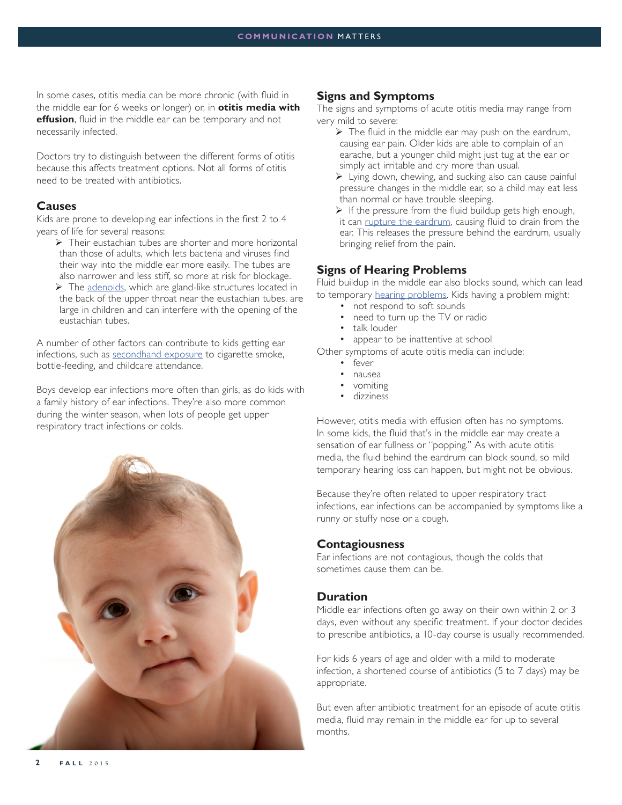In some cases, otitis media can be more chronic (with fluid in the middle ear for 6 weeks or longer) or, in **otitis media with effusion**, fluid in the middle ear can be temporary and not necessarily infected.

Doctors try to distinguish between the different forms of otitis because this affects treatment options. Not all forms of otitis need to be treated with antibiotics.

#### **Causes**

Kids are prone to developing ear infections in the first 2 to 4 years of life for several reasons:

- $\triangleright$  Their eustachian tubes are shorter and more horizontal than those of adults, which lets bacteria and viruses find their way into the middle ear more easily. The tubes are also narrower and less stiff, so more at risk for blockage.
- $\triangleright$  The adenoids, which are gland-like structures located in the back of the upper throat near the eustachian tubes, are large in children and can interfere with the opening of the eustachian tubes.

A number of other factors can contribute to kids getting ear infections, such as secondhand exposure to cigarette smoke, bottle-feeding, and childcare attendance.

Boys develop ear infections more often than girls, as do kids with a family history of ear infections. They're also more common during the winter season, when lots of people get upper respiratory tract infections or colds.



#### **Signs and Symptoms**

The signs and symptoms of acute otitis media may range from very mild to severe:

- $\triangleright$  The fluid in the middle ear may push on the eardrum, causing ear pain. Older kids are able to complain of an earache, but a younger child might just tug at the ear or simply act irritable and cry more than usual.
- $\triangleright$  Lying down, chewing, and sucking also can cause painful pressure changes in the middle ear, so a child may eat less than normal or have trouble sleeping.
- $\triangleright$  If the pressure from the fluid buildup gets high enough, it can rupture the eardrum, causing fluid to drain from the ear. This releases the pressure behind the eardrum, usually bringing relief from the pain.

#### **Signs of Hearing Problems**

Fluid buildup in the middle ear also blocks sound, which can lead to temporary hearing problems. Kids having a problem might:

- not respond to soft sounds
- need to turn up the TV or radio
- talk louder
- appear to be inattentive at school

Other symptoms of acute otitis media can include:

- fever
- nausea
- vomiting
- dizziness

However, otitis media with effusion often has no symptoms. In some kids, the fluid that's in the middle ear may create a sensation of ear fullness or "popping." As with acute otitis media, the fluid behind the eardrum can block sound, so mild temporary hearing loss can happen, but might not be obvious.

Because they're often related to upper respiratory tract infections, ear infections can be accompanied by symptoms like a runny or stuffy nose or a cough.

## **Contagiousness**

Ear infections are not contagious, though the colds that sometimes cause them can be.

## **Duration**

Middle ear infections often go away on their own within 2 or 3 days, even without any specific treatment. If your doctor decides to prescribe antibiotics, a 10-day course is usually recommended.

For kids 6 years of age and older with a mild to moderate infection, a shortened course of antibiotics (5 to 7 days) may be appropriate.

But even after antibiotic treatment for an episode of acute otitis media, fluid may remain in the middle ear for up to several months.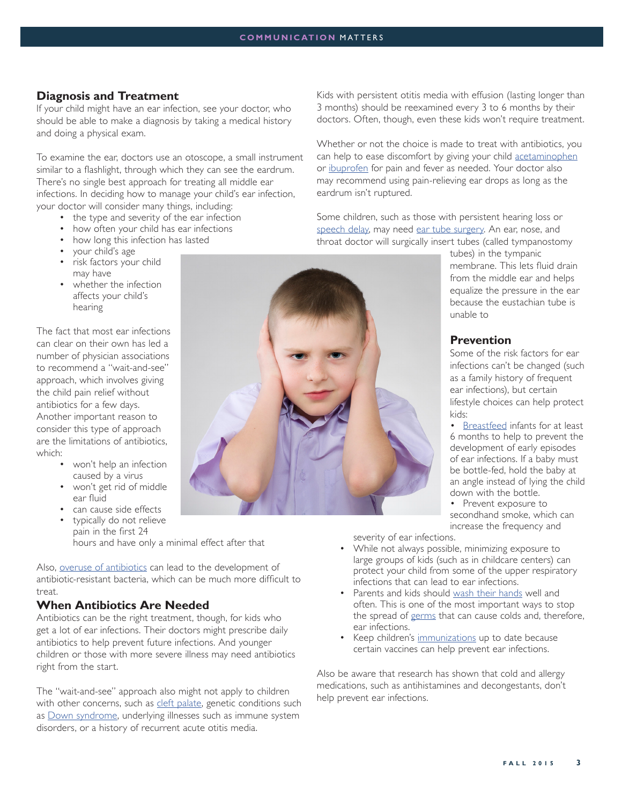## **Diagnosis and Treatment**

If your child might have an ear infection, see your doctor, who should be able to make a diagnosis by taking a medical history and doing a physical exam.

To examine the ear, doctors use an otoscope, a small instrument similar to a flashlight, through which they can see the eardrum. There's no single best approach for treating all middle ear infections. In deciding how to manage your child's ear infection, your doctor will consider many things, including:

- the type and severity of the ear infection
- how often your child has ear infections
- how long this infection has lasted
- your child's age
- risk factors your child may have
- whether the infection affects your child's hearing

The fact that most ear infections can clear on their own has led a number of physician associations to recommend a "wait-and-see" approach, which involves giving the child pain relief without antibiotics for a few days. Another important reason to consider this type of approach are the limitations of antibiotics, which:

- won't help an infection caused by a virus
- won't get rid of middle ear fluid
- can cause side effects
- typically do not relieve pain in the first 24 hours and have only a minimal effect after that

Also, overuse of antibiotics can lead to the development of antibiotic-resistant bacteria, which can be much more difficult to treat.

#### **When Antibiotics Are Needed**

Antibiotics can be the right treatment, though, for kids who get a lot of ear infections. Their doctors might prescribe daily antibiotics to help prevent future infections. And younger children or those with more severe illness may need antibiotics right from the start.

The "wait-and-see" approach also might not apply to children with other concerns, such as cleft palate, genetic conditions such as Down syndrome, underlying illnesses such as immune system disorders, or a history of recurrent acute otitis media.



Whether or not the choice is made to treat with antibiotics, you can help to ease discomfort by giving your child acetaminophen or ibuprofen for pain and fever as needed. Your doctor also may recommend using pain-relieving ear drops as long as the eardrum isn't ruptured.

Some children, such as those with persistent hearing loss or speech delay, may need ear tube surgery. An ear, nose, and throat doctor will surgically insert tubes (called tympanostomy



tubes) in the tympanic membrane. This lets fluid drain from the middle ear and helps equalize the pressure in the ear because the eustachian tube is unable to

# **Prevention**

Some of the risk factors for ear infections can't be changed (such as a family history of frequent ear infections), but certain lifestyle choices can help protect kids:

• Breastfeed infants for at least 6 months to help to prevent the development of early episodes of ear infections. If a baby must be bottle-fed, hold the baby at an angle instead of lying the child down with the bottle.

• Prevent exposure to secondhand smoke, which can increase the frequency and

severity of ear infections.

- While not always possible, minimizing exposure to large groups of kids (such as in childcare centers) can protect your child from some of the upper respiratory infections that can lead to ear infections.
- Parents and kids should wash their hands well and often. This is one of the most important ways to stop the spread of germs that can cause colds and, therefore, ear infections.
- Keep children's immunizations up to date because certain vaccines can help prevent ear infections.

Also be aware that research has shown that cold and allergy medications, such as antihistamines and decongestants, don't help prevent ear infections.